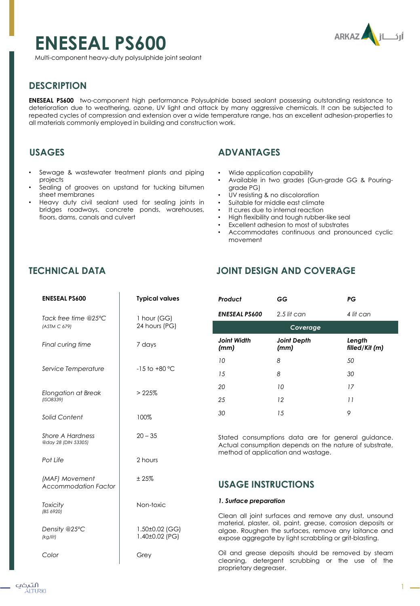# **ENESEAL PS600**

ARKAZ

Multi-component heavy-duty polysulphide joint sealant

# **DESCRIPTION**

**ENESEAL PS600** two-component high performance Polysulphide based sealant possessing outstanding resistance to deterioration due to weathering, ozone, UV light and attack by many aggressive chemicals. It can be subjected to repeated cycles of compression and extension over a wide temperature range, has an excellent adhesion-properties to all materials commonly employed in building and construction work.

## **USAGES**

- Sewage & wastewater treatment plants and piping projects
- Sealing of grooves on upstand for tucking bitumen sheet membranes
- Heavy duty civil sealant used for sealing joints in bridges roadways, concrete ponds, warehouses, floors, dams, canals and culvert

# **ADVANTAGES**

- Wide application capability
- Available in two grades (Gun-grade GG & Pouringgrade PG)
- UV resisting & no discoloration
- Suitable for middle east climate
- It cures due to internal reaction
- High flexibility and tough rubber-like seal
- Excellent adhesion to most of substrates
- Accommodates continuous and pronounced cyclic movement

# **TECHNICAL DATA**

# **JOINT DESIGN AND COVERAGE**

*Product GG PG*

| <b>ENESEAL PS600</b>                          | <b>Typical values</b>            | Prod                             |  |
|-----------------------------------------------|----------------------------------|----------------------------------|--|
| Tack free time @25°C<br>(ASTM C 679)          | 1 hour (GG)<br>24 hours (PG)     | ENES                             |  |
| Final curing time                             | 7 days                           | Join<br>(mm                      |  |
| Service Temperature                           | $-15$ to $+80$ °C                | 10<br>15                         |  |
| <b>Elongation at Break</b><br>(ISO8339)       | >225%                            | 20<br>25                         |  |
| Solid Content                                 | 100%                             | 30                               |  |
| Shore A Hardness<br>@day 28 (DIN 53305)       | $20 - 35$                        | <b>State</b><br>Actu<br>metl     |  |
| Pot Life                                      | 2 hours                          |                                  |  |
| (MAF) Movement<br><b>Accommodation Factor</b> | ±25%                             | US,                              |  |
| <b>Toxicity</b><br>(BS 6920)                  | Non-toxic                        | 1. Su                            |  |
| Density @25°C<br>(kg/lit)                     | 1.50±0.02 (GG)<br>1.40±0.02 (PG) | Clec<br>mat<br>algo<br>exp       |  |
| Color                                         | Grey                             | Oil <sub>o</sub><br>clec<br>prop |  |

| .                          |                            | . .                      |  |
|----------------------------|----------------------------|--------------------------|--|
| <b>ENESEAL PS600</b>       | $2.5$ lit can              | 4 lit can                |  |
| Coverage                   |                            |                          |  |
| <b>Joint Width</b><br>(mm) | <b>Joint Depth</b><br>(mm) | Length<br>filled/Kit (m) |  |
| 10                         | 8                          | 50                       |  |
| 15                         | 8                          | 30                       |  |
| 20                         | 10                         | 17                       |  |
| 25                         | 12                         | 11                       |  |
| 30                         | 15                         | 9                        |  |
|                            |                            |                          |  |

ed consumptions data are for general guidance. Jal consumption depends on the nature of substrate, hod of application and wastage.

### **USAGE INSTRUCTIONS**

#### *1. Surface preparation*

an all joint surfaces and remove any dust, unsound erial, plaster, oil, paint, grease, corrosion deposits or ae. Roughen the surfaces, remove any laitance and ose aggregate by light scrabbling or grit-blasting.

and grease deposits should be removed by steam aning, detergent scrubbing or the use of the prietary degreaser.